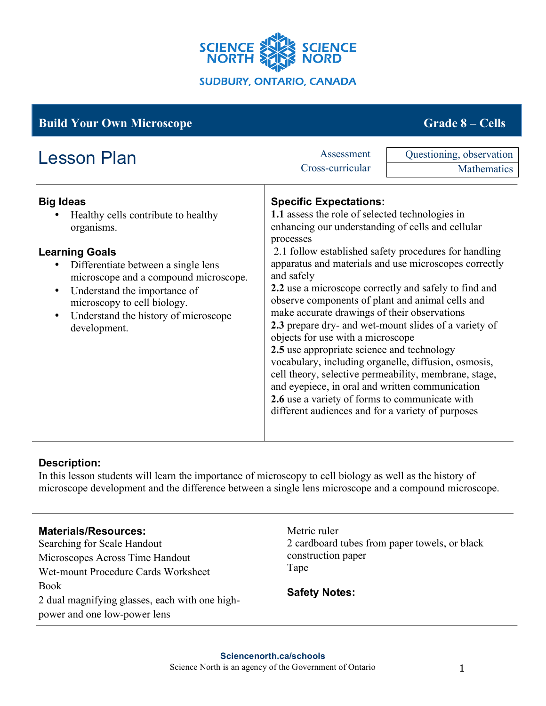

| <b>Build Your Own Microscope</b>                                                                                                                                                                                                                                                                                                |                                                                                                                                                                                                                                                                                                                                                                                                                                                                                                                                                                                                                                                                                                                                                                                                                                                                        | <b>Grade 8 – Cells</b>                  |
|---------------------------------------------------------------------------------------------------------------------------------------------------------------------------------------------------------------------------------------------------------------------------------------------------------------------------------|------------------------------------------------------------------------------------------------------------------------------------------------------------------------------------------------------------------------------------------------------------------------------------------------------------------------------------------------------------------------------------------------------------------------------------------------------------------------------------------------------------------------------------------------------------------------------------------------------------------------------------------------------------------------------------------------------------------------------------------------------------------------------------------------------------------------------------------------------------------------|-----------------------------------------|
| <b>Lesson Plan</b>                                                                                                                                                                                                                                                                                                              | Assessment<br>Cross-curricular                                                                                                                                                                                                                                                                                                                                                                                                                                                                                                                                                                                                                                                                                                                                                                                                                                         | Questioning, observation<br>Mathematics |
| <b>Big Ideas</b><br>Healthy cells contribute to healthy<br>organisms.<br><b>Learning Goals</b><br>Differentiate between a single lens<br>microscope and a compound microscope.<br>Understand the importance of<br>$\bullet$<br>microscopy to cell biology.<br>Understand the history of microscope<br>$\bullet$<br>development. | <b>Specific Expectations:</b><br>1.1 assess the role of selected technologies in<br>enhancing our understanding of cells and cellular<br>processes<br>2.1 follow established safety procedures for handling<br>apparatus and materials and use microscopes correctly<br>and safely<br>2.2 use a microscope correctly and safely to find and<br>observe components of plant and animal cells and<br>make accurate drawings of their observations<br>2.3 prepare dry- and wet-mount slides of a variety of<br>objects for use with a microscope<br>2.5 use appropriate science and technology<br>vocabulary, including organelle, diffusion, osmosis,<br>cell theory, selective permeability, membrane, stage,<br>and eyepiece, in oral and written communication<br>2.6 use a variety of forms to communicate with<br>different audiences and for a variety of purposes |                                         |

# **Description:**

In this lesson students will learn the importance of microscopy to cell biology as well as the history of microscope development and the difference between a single lens microscope and a compound microscope.

## **Materials/Resources:**

Searching for Scale Handout Microscopes Across Time Handout Wet-mount Procedure Cards Worksheet Book 2 dual magnifying glasses, each with one highpower and one low-power lens

Metric ruler 2 cardboard tubes from paper towels, or black construction paper Tape

**Safety Notes:**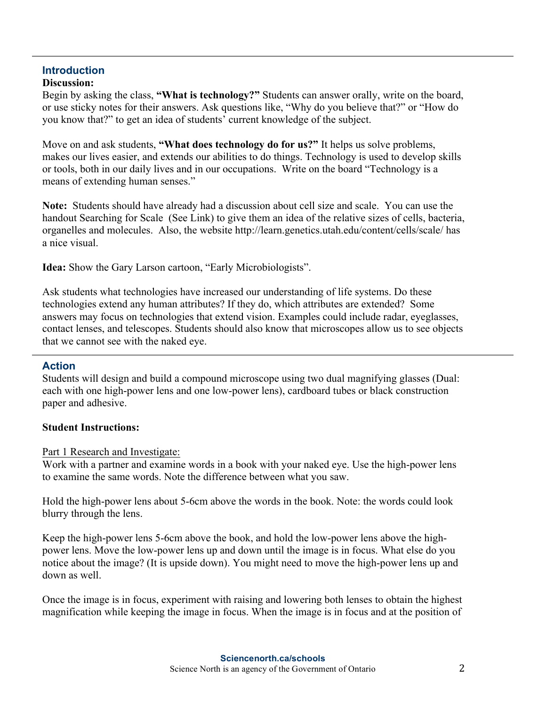#### **Introduction Discussion:**

Begin by asking the class, **"What is technology?"** Students can answer orally, write on the board, or use sticky notes for their answers. Ask questions like, "Why do you believe that?" or "How do you know that?" to get an idea of students' current knowledge of the subject.

Move on and ask students, **"What does technology do for us?"** It helps us solve problems, makes our lives easier, and extends our abilities to do things. Technology is used to develop skills or tools, both in our daily lives and in our occupations. Write on the board "Technology is a means of extending human senses."

**Note:** Students should have already had a discussion about cell size and scale. You can use the handout Searching for Scale (See Link) to give them an idea of the relative sizes of cells, bacteria, organelles and molecules. Also, the website http://learn.genetics.utah.edu/content/cells/scale/ has a nice visual.

**Idea:** Show the Gary Larson cartoon, "Early Microbiologists".

Ask students what technologies have increased our understanding of life systems. Do these technologies extend any human attributes? If they do, which attributes are extended? Some answers may focus on technologies that extend vision. Examples could include radar, eyeglasses, contact lenses, and telescopes. Students should also know that microscopes allow us to see objects that we cannot see with the naked eye.

## **Action**

Students will design and build a compound microscope using two dual magnifying glasses (Dual: each with one high-power lens and one low-power lens), cardboard tubes or black construction paper and adhesive.

## **Student Instructions:**

Part 1 Research and Investigate:

Work with a partner and examine words in a book with your naked eye. Use the high-power lens to examine the same words. Note the difference between what you saw.

Hold the high-power lens about 5-6cm above the words in the book. Note: the words could look blurry through the lens.

Keep the high-power lens 5-6cm above the book, and hold the low-power lens above the highpower lens. Move the low-power lens up and down until the image is in focus. What else do you notice about the image? (It is upside down). You might need to move the high-power lens up and down as well.

Once the image is in focus, experiment with raising and lowering both lenses to obtain the highest magnification while keeping the image in focus. When the image is in focus and at the position of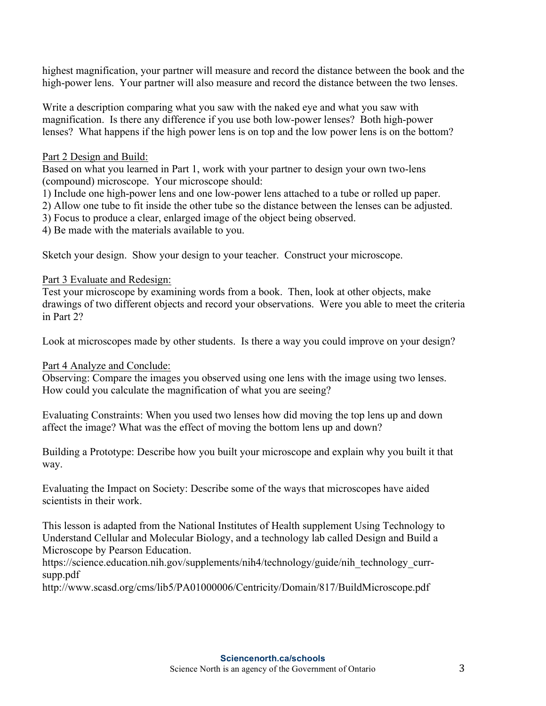highest magnification, your partner will measure and record the distance between the book and the high-power lens. Your partner will also measure and record the distance between the two lenses.

Write a description comparing what you saw with the naked eye and what you saw with magnification. Is there any difference if you use both low-power lenses? Both high-power lenses? What happens if the high power lens is on top and the low power lens is on the bottom?

### Part 2 Design and Build:

Based on what you learned in Part 1, work with your partner to design your own two-lens (compound) microscope. Your microscope should:

1) Include one high-power lens and one low-power lens attached to a tube or rolled up paper.

2) Allow one tube to fit inside the other tube so the distance between the lenses can be adjusted.

3) Focus to produce a clear, enlarged image of the object being observed.

4) Be made with the materials available to you.

Sketch your design. Show your design to your teacher. Construct your microscope.

## Part 3 Evaluate and Redesign:

Test your microscope by examining words from a book. Then, look at other objects, make drawings of two different objects and record your observations. Were you able to meet the criteria in Part 2?

Look at microscopes made by other students. Is there a way you could improve on your design?

## Part 4 Analyze and Conclude:

Observing: Compare the images you observed using one lens with the image using two lenses. How could you calculate the magnification of what you are seeing?

Evaluating Constraints: When you used two lenses how did moving the top lens up and down affect the image? What was the effect of moving the bottom lens up and down?

Building a Prototype: Describe how you built your microscope and explain why you built it that way.

Evaluating the Impact on Society: Describe some of the ways that microscopes have aided scientists in their work.

This lesson is adapted from the National Institutes of Health supplement Using Technology to Understand Cellular and Molecular Biology, and a technology lab called Design and Build a Microscope by Pearson Education.

https://science.education.nih.gov/supplements/nih4/technology/guide/nih\_technology\_currsupp.pdf

http://www.scasd.org/cms/lib5/PA01000006/Centricity/Domain/817/BuildMicroscope.pdf